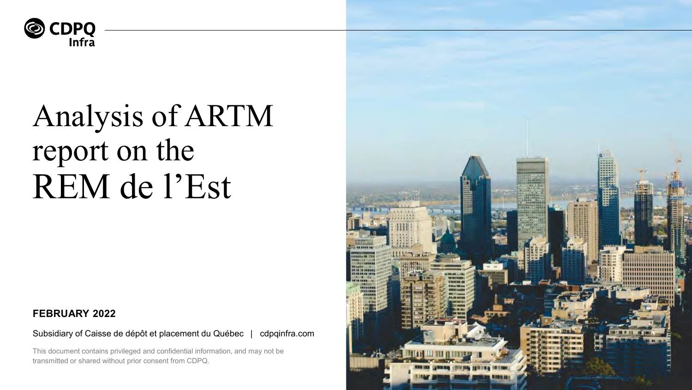

**FEBRUARY 2022**<br>Subsidiary of Caisse de dépôt et placement du Québec | cdpqinfra.com

This document contains privileged and confidential information, and may not be transmitted or shared without prior consent from CDPQ.

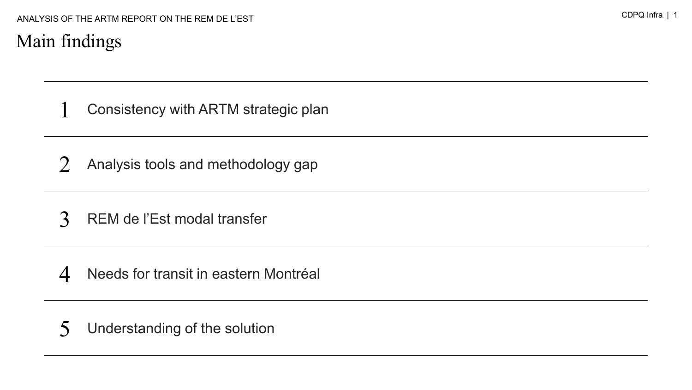### Main findings

1 Consistency with ARTM strategic plan

- 2 Analysis tools and methodology gap
- 3 REM de l'Est modal transfer

4 Needs for transit in eastern Montréal

5 Understanding of the solution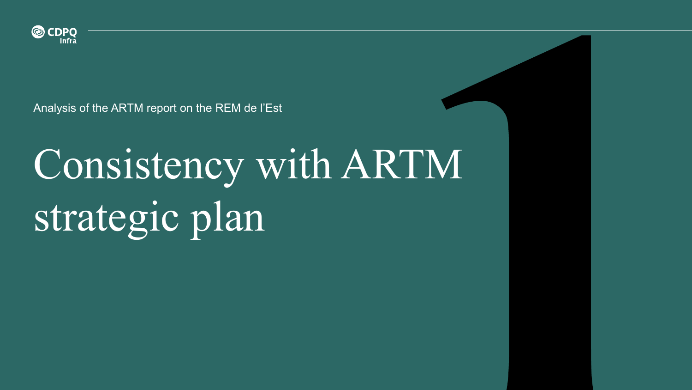

# Consistency with ARTM strategic plan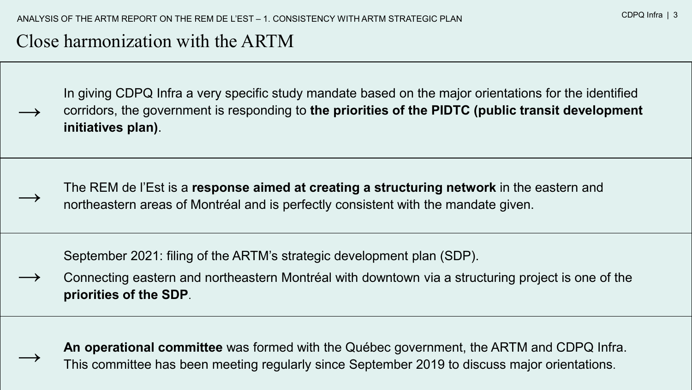### Close harmonization with the ARTM

**→**

 $\rightarrow$ 

 $\rightarrow$ 

In giving CDPQ Infra a very specific study mandate based on the major orientations for the identified corridors, the government is responding to **the priorities of the PIDTC (public transit development initiatives plan)**.

The REM de l'Est is a **response aimed at creating a structuring network** in the eastern and northeastern areas of Montréal and is perfectly consistent with the mandate given.

September 2021: filing of the ARTM's strategic development plan (SDP).

 $\rightarrow$ Connecting eastern and northeastern Montréal with downtown via a structuring project is one of the **priorities of the SDP**.

**An operational committee** was formed with the Québec government, the ARTM and CDPQ Infra. This committee has been meeting regularly since September 2019 to discuss major orientations.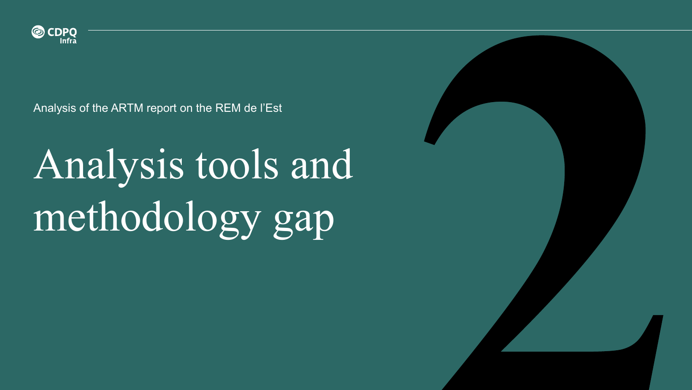

# Analysis tools and methodology gap

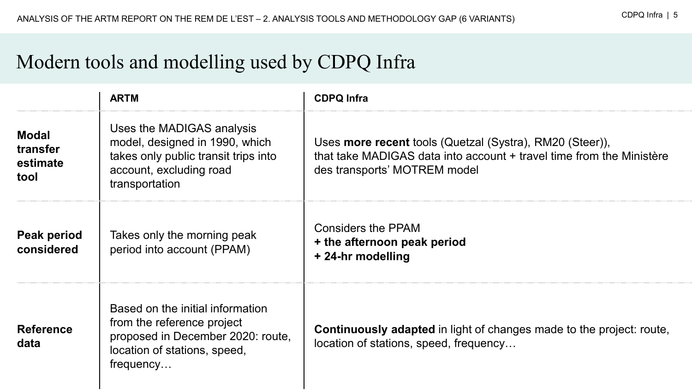## Modern tools and modelling used by CDPQ Infra

|                                              | <b>ARTM</b>                                                                                                                                      | <b>CDPQ Infra</b>                                                                                                                                                |  |
|----------------------------------------------|--------------------------------------------------------------------------------------------------------------------------------------------------|------------------------------------------------------------------------------------------------------------------------------------------------------------------|--|
| <b>Modal</b><br>transfer<br>estimate<br>tool | Uses the MADIGAS analysis<br>model, designed in 1990, which<br>takes only public transit trips into<br>account, excluding road<br>transportation | Uses more recent tools (Quetzal (Systra), RM20 (Steer)),<br>that take MADIGAS data into account + travel time from the Ministère<br>des transports' MOTREM model |  |
| Peak period<br>considered                    | Takes only the morning peak<br>period into account (PPAM)                                                                                        | <b>Considers the PPAM</b><br>+ the afternoon peak period<br>+ 24-hr modelling                                                                                    |  |
| <b>Reference</b><br>data                     | Based on the initial information<br>from the reference project<br>proposed in December 2020: route,<br>location of stations, speed,<br>frequency | <b>Continuously adapted</b> in light of changes made to the project: route,<br>location of stations, speed, frequency                                            |  |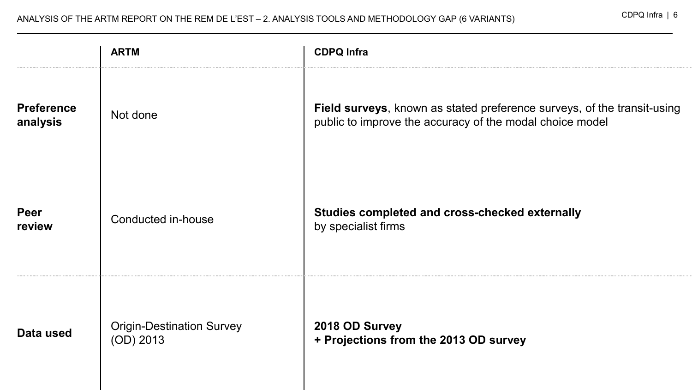|                               | <b>ARTM</b>                                   | <b>CDPQ Infra</b>                                                                                                                   |  |  |  |
|-------------------------------|-----------------------------------------------|-------------------------------------------------------------------------------------------------------------------------------------|--|--|--|
| <b>Preference</b><br>analysis | Not done                                      | Field surveys, known as stated preference surveys, of the transit-using<br>public to improve the accuracy of the modal choice model |  |  |  |
| <b>Peer</b><br>review         | Conducted in-house                            | Studies completed and cross-checked externally<br>by specialist firms                                                               |  |  |  |
| Data used                     | <b>Origin-Destination Survey</b><br>(OD) 2013 | 2018 OD Survey<br>+ Projections from the 2013 OD survey                                                                             |  |  |  |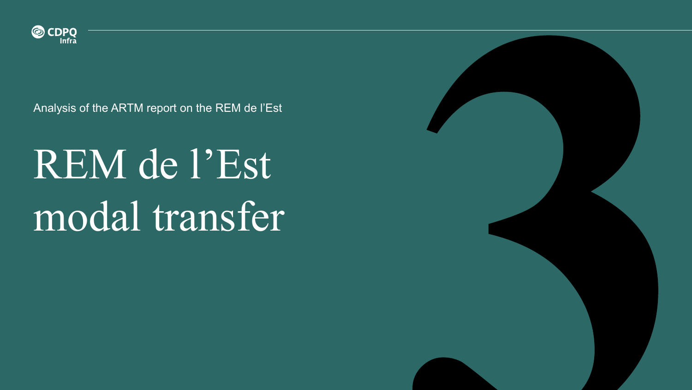

## REM de l'Est modal transfer

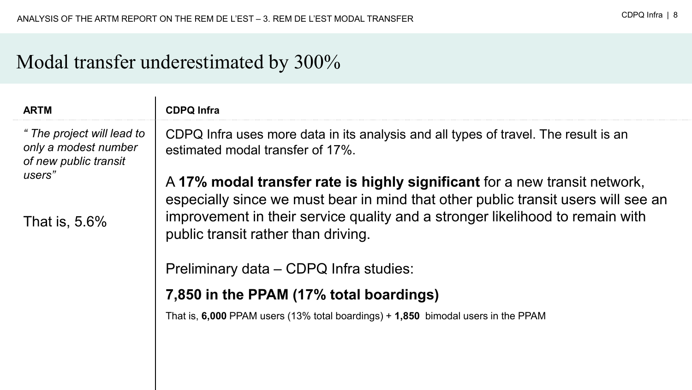### Modal transfer underestimated by 300%

| <b>ARTM</b>                                                                 | <b>CDPQ Infra</b>                                                                                                                                               |  |  |
|-----------------------------------------------------------------------------|-----------------------------------------------------------------------------------------------------------------------------------------------------------------|--|--|
| " The project will lead to<br>only a modest number<br>of new public transit | CDPQ Infra uses more data in its analysis and all types of travel. The result is an<br>estimated modal transfer of 17%.                                         |  |  |
| users"                                                                      | A 17% modal transfer rate is highly significant for a new transit network,<br>especially since we must bear in mind that other public transit users will see an |  |  |
| That is, $5.6\%$                                                            | improvement in their service quality and a stronger likelihood to remain with<br>public transit rather than driving.                                            |  |  |
|                                                                             | Preliminary data – CDPQ Infra studies:                                                                                                                          |  |  |
|                                                                             | 7,850 in the PPAM (17% total boardings)                                                                                                                         |  |  |
|                                                                             | That is, 6,000 PPAM users (13% total boardings) $+$ 1,850 bimodal users in the PPAM                                                                             |  |  |
|                                                                             |                                                                                                                                                                 |  |  |
|                                                                             |                                                                                                                                                                 |  |  |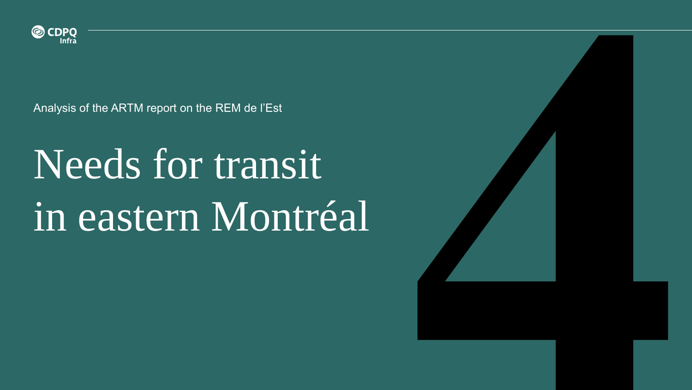

## Needs for transit in eastern Montréal

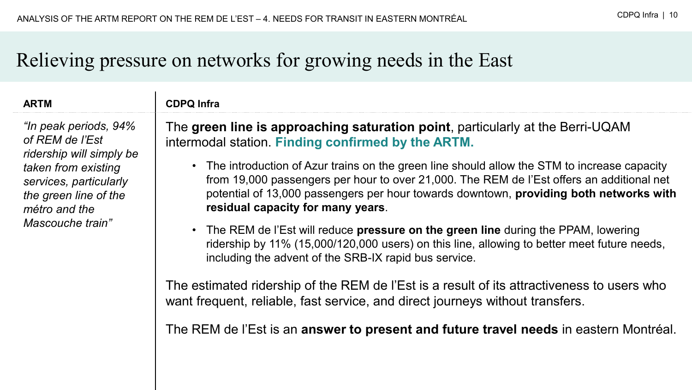## Relieving pressure on networks for growing needs in the East

*"In peak periods, 94% of REM de l'Est ridership will simply be taken from existing services, particularly the green line of the métro and the Mascouche train"*

#### **ARTM CDPQ Infra**

The **green line is approaching saturation point**, particularly at the Berri-UQAM intermodal station. **Finding confirmed by the ARTM.**

- The introduction of Azur trains on the green line should allow the STM to increase capacity from 19,000 passengers per hour to over 21,000. The REM de l'Est offers an additional net potential of 13,000 passengers per hour towards downtown, **providing both networks with residual capacity for many years**.
- The REM de l'Est will reduce **pressure on the green line** during the PPAM, lowering ridership by 11% (15,000/120,000 users) on this line, allowing to better meet future needs, including the advent of the SRB-IX rapid bus service.

The estimated ridership of the REM de l'Est is a result of its attractiveness to users who want frequent, reliable, fast service, and direct journeys without transfers.

The REM de l'Est is an **answer to present and future travel needs** in eastern Montréal.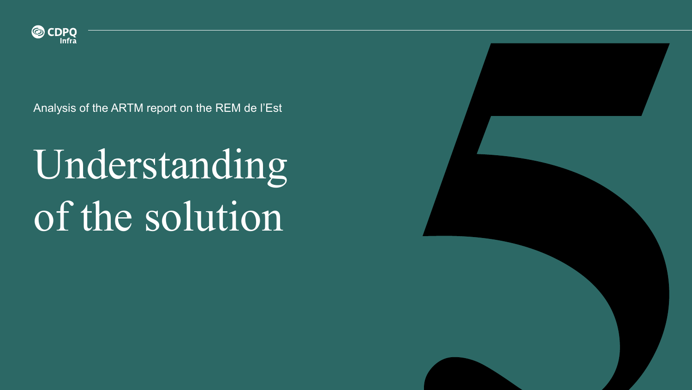

## Understanding of the solution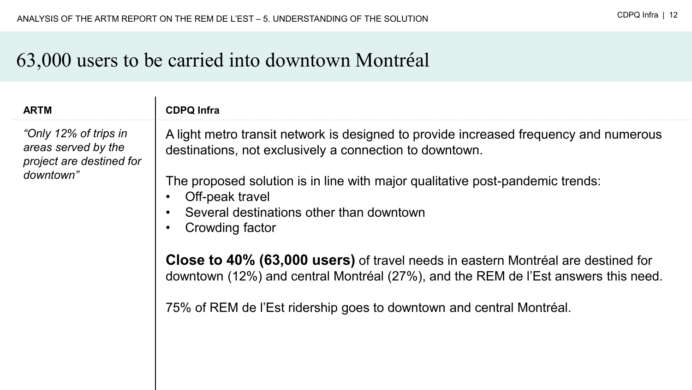### 63,000 users to be carried into downtown Montréal

#### **ARTM CDPQ Infra**

*"Only 12% of trips in areas served by the project are destined for downtown"*

A light metro transit network is designed to provide increased frequency and numerous destinations, not exclusively a connection to downtown.

The proposed solution is in line with major qualitative post-pandemic trends:

- Off-peak travel
- Several destinations other than downtown
- Crowding factor

**Close to 40% (63,000 users)** of travel needs in eastern Montréal are destined for downtown (12%) and central Montréal (27%), and the REM de l'Est answers this need.

75% of REM de l'Est ridership goes to downtown and central Montréal.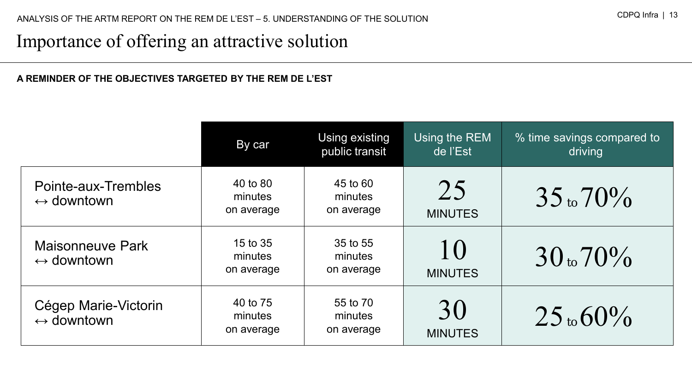### Importance of offering an attractive solution

#### **A REMINDER OF THE OBJECTIVES TARGETED BY THE REM DE L'EST**

|                                                    | By car                            | Using existing<br>public transit  | Using the REM<br>de l'Est | % time savings compared to<br>driving |
|----------------------------------------------------|-----------------------------------|-----------------------------------|---------------------------|---------------------------------------|
| Pointe-aux-Trembles<br>$\leftrightarrow$ downtown  | 40 to 80<br>minutes<br>on average | 45 to 60<br>minutes<br>on average | 25<br><b>MINUTES</b>      | $35$ to $70\%$                        |
| Maisonneuve Park<br>$\leftrightarrow$ downtown     | 15 to 35<br>minutes<br>on average | 35 to 55<br>minutes<br>on average | 10<br><b>MINUTES</b>      | 30 <sub>10</sub> 70 <sub>0</sub>      |
| Cégep Marie-Victorin<br>$\leftrightarrow$ downtown | 40 to 75<br>minutes<br>on average | 55 to 70<br>minutes<br>on average | 30<br><b>MINUTES</b>      | $25$ to $60\%$                        |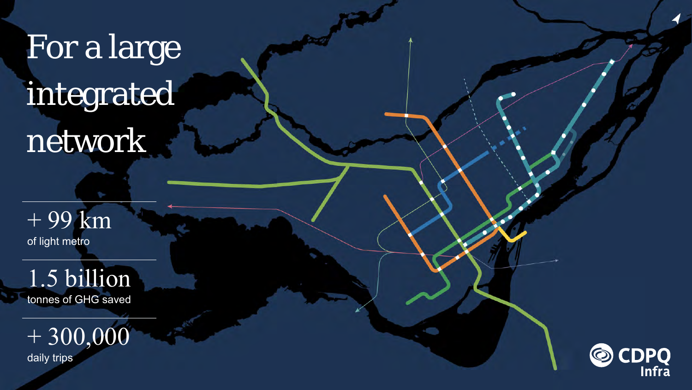## For a large integrated network

+ 99 km of light metro

1.5 billion tonnes of GHG saved

 $+300,000$ daily trips